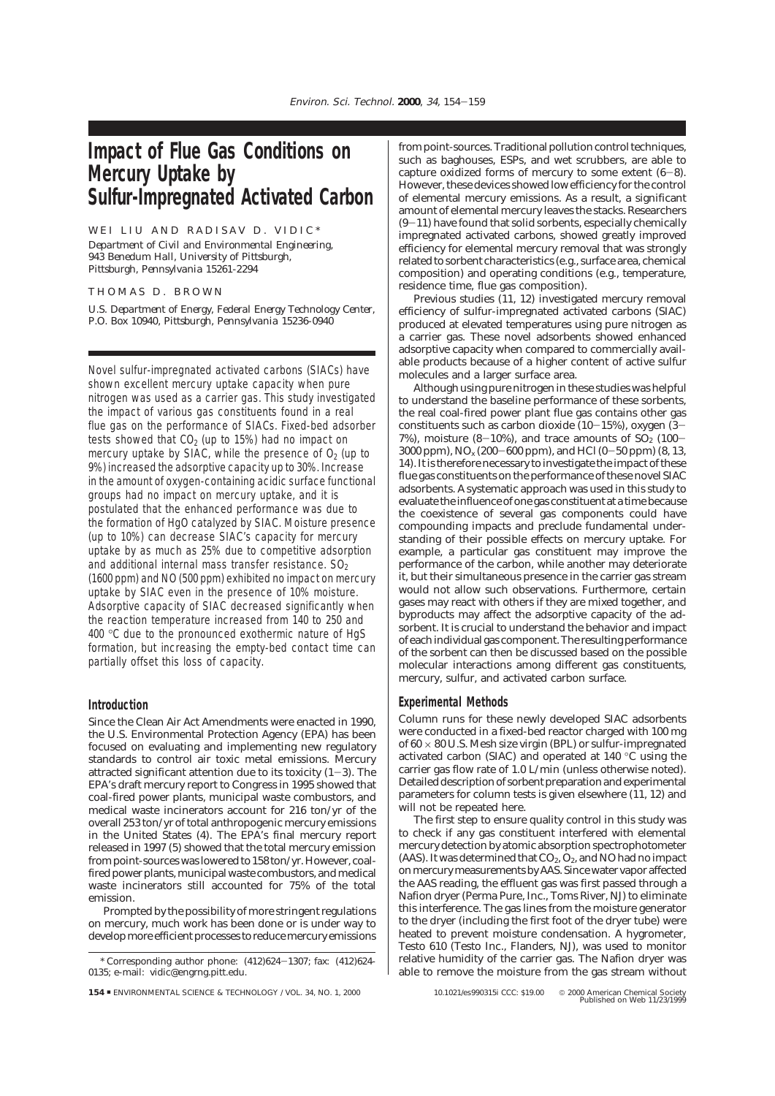# **Impact of Flue Gas Conditions on Mercury Uptake by Sulfur-Impregnated Activated Carbon**

# WEI LIU AND RADISAV D. VIDIC\*

*Department of Civil and Environmental Engineering, 943 Benedum Hall, University of Pittsburgh, Pittsburgh, Pennsylvania 15261-2294*

## THOMAS D. BROWN

*U.S. Department of Energy, Federal Energy Technology Center, P.O. Box 10940, Pittsburgh, Pennsylvania 15236-0940*

Novel sulfur-impregnated activated carbons (SIACs) have shown excellent mercury uptake capacity when pure nitrogen was used as a carrier gas. This study investigated the impact of various gas constituents found in a real flue gas on the performance of SIACs. Fixed-bed adsorber tests showed that  $CO<sub>2</sub>$  (up to 15%) had no impact on mercury uptake by SIAC, while the presence of  $O<sub>2</sub>$  (up to 9%) increased the adsorptive capacity up to 30%. Increase in the amount of oxygen-containing acidic surface functional groups had no impact on mercury uptake, and it is postulated that the enhanced performance was due to the formation of HgO catalyzed by SIAC. Moisture presence (up to 10%) can decrease SIAC's capacity for mercury uptake by as much as 25% due to competitive adsorption and additional internal mass transfer resistance.  $SO<sub>2</sub>$ (1600 ppm) and NO (500 ppm) exhibited no impact on mercury uptake by SIAC even in the presence of 10% moisture. Adsorptive capacity of SIAC decreased significantly when the reaction temperature increased from 140 to 250 and 400 °C due to the pronounced exothermic nature of HgS formation, but increasing the empty-bed contact time can partially offset this loss of capacity.

# **Introduction**

Since the Clean Air Act Amendments were enacted in 1990, the U.S. Environmental Protection Agency (EPA) has been focused on evaluating and implementing new regulatory standards to control air toxic metal emissions. Mercury attracted significant attention due to its toxicity (*1*-*3*). The EPA's draft mercury report to Congress in 1995 showed that coal-fired power plants, municipal waste combustors, and medical waste incinerators account for 216 ton/yr of the overall 253 ton/yr of total anthropogenic mercury emissions in the United States (*4*). The EPA's final mercury report released in 1997 (*5*) showed that the total mercury emission from point-sources was lowered to 158 ton/yr. However, coalfired power plants, municipal waste combustors, and medical waste incinerators still accounted for 75% of the total emission.

Prompted by the possibility of more stringent regulations on mercury, much work has been done or is under way to develop more efficient processes to reduce mercury emissions from point-sources. Traditional pollution control techniques, such as baghouses, ESPs, and wet scrubbers, are able to capture oxidized forms of mercury to some extent (*6*-*8*). However, these devices showed low efficiency for the control of elemental mercury emissions. As a result, a significant amount of elemental mercury leaves the stacks. Researchers  $(9-11)$  have found that solid sorbents, especially chemically impregnated activated carbons, showed greatly improved efficiency for elemental mercury removal that was strongly related to sorbent characteristics (e.g., surface area, chemical composition) and operating conditions (e.g., temperature, residence time, flue gas composition).

Previous studies (*11, 12*) investigated mercury removal efficiency of sulfur-impregnated activated carbons (SIAC) produced at elevated temperatures using pure nitrogen as a carrier gas. These novel adsorbents showed enhanced adsorptive capacity when compared to commercially available products because of a higher content of active sulfur molecules and a larger surface area.

Although using pure nitrogen in these studies was helpful to understand the baseline performance of these sorbents, the real coal-fired power plant flue gas contains other gas constituents such as carbon dioxide  $(10-15\%)$ , oxygen  $(3-$ 7%), moisture  $(8-10)$ %, and trace amounts of  $SO<sub>2</sub>$  (100-3000 ppm), NO*<sup>x</sup>* (200-600 ppm), and HCl (0-50 ppm) (*8, 13, 14*). It is therefore necessary to investigate the impact of these flue gas constituents on the performance of these novel SIAC adsorbents. A systematic approach was used in this study to evaluate the influence of one gas constituent at a time because the coexistence of several gas components could have compounding impacts and preclude fundamental understanding of their possible effects on mercury uptake. For example, a particular gas constituent may improve the performance of the carbon, while another may deteriorate it, but their simultaneous presence in the carrier gas stream would not allow such observations. Furthermore, certain gases may react with others if they are mixed together, and byproducts may affect the adsorptive capacity of the adsorbent. It is crucial to understand the behavior and impact of each individual gas component. The resulting performance of the sorbent can then be discussed based on the possible molecular interactions among different gas constituents, mercury, sulfur, and activated carbon surface.

## **Experimental Methods**

Column runs for these newly developed SIAC adsorbents were conducted in a fixed-bed reactor charged with 100 mg of  $60 \times 80$  U.S. Mesh size virgin (BPL) or sulfur-impregnated activated carbon (SIAC) and operated at 140 °C using the carrier gas flow rate of 1.0 L/min (unless otherwise noted). Detailed description of sorbent preparation and experimental parameters for column tests is given elsewhere (*11, 12*) and will not be repeated here.

The first step to ensure quality control in this study was to check if any gas constituent interfered with elemental mercury detection by atomic absorption spectrophotometer (AAS). It was determined that  $CO_2$ ,  $O_2$ , and NO had no impact onmercurymeasurements by AAS. Since water vapor affected the AAS reading, the effluent gas was first passed through a Nafion dryer (Perma Pure, Inc., Toms River, NJ) to eliminate this interference. The gas lines from the moisture generator to the dryer (including the first foot of the dryer tube) were heated to prevent moisture condensation. A hygrometer, Testo 610 (Testo Inc., Flanders, NJ), was used to monitor relative humidity of the carrier gas. The Nafion dryer was able to remove the moisture from the gas stream without

<sup>\*</sup> Corresponding author phone: (412)624-1307; fax: (412)624- 0135; e-mail: vidic@engrng.pitt.edu.

**<sup>154</sup>** ■ ENVIRONMENTAL SCIENCE & TECHNOLOGY / VOL. 34, NO. 1, 2000 10.1021/es990315i CCC: \$19.00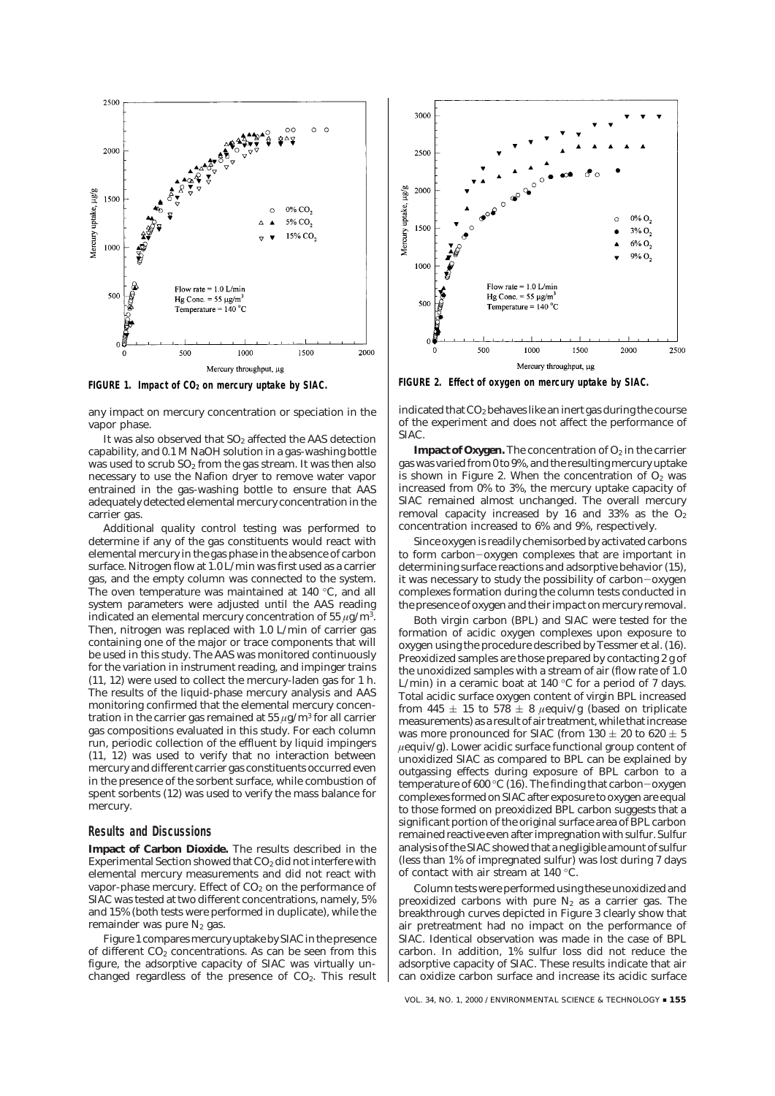

any impact on mercury concentration or speciation in the vapor phase.

It was also observed that  $SO<sub>2</sub>$  affected the AAS detection capability, and 0.1 M NaOH solution in a gas-washing bottle was used to scrub  $SO_2$  from the gas stream. It was then also necessary to use the Nafion dryer to remove water vapor entrained in the gas-washing bottle to ensure that AAS adequately detected elemental mercury concentration in the carrier gas.

Additional quality control testing was performed to determine if any of the gas constituents would react with elemental mercury in the gas phase in the absence of carbon surface. Nitrogen flow at 1.0 L/min was first used as a carrier gas, and the empty column was connected to the system. The oven temperature was maintained at 140 °C, and all system parameters were adjusted until the AAS reading indicated an elemental mercury concentration of 55  $\mu$ g/m<sup>3</sup>. Then, nitrogen was replaced with 1.0 L/min of carrier gas containing one of the major or trace components that will be used in this study. The AAS was monitored continuously for the variation in instrument reading, and impinger trains (*11, 12*) were used to collect the mercury-laden gas for 1 h. The results of the liquid-phase mercury analysis and AAS monitoring confirmed that the elemental mercury concentration in the carrier gas remained at 55  $\mu$ g/m<sup>3</sup> for all carrier gas compositions evaluated in this study. For each column run, periodic collection of the effluent by liquid impingers (*11, 12*) was used to verify that no interaction between mercury and different carrier gas constituents occurred even in the presence of the sorbent surface, while combustion of spent sorbents (*12*) was used to verify the mass balance for mercury.

#### **Results and Discussions**

**Impact of Carbon Dioxide.** The results described in the Experimental Section showed that CO<sub>2</sub> did not interfere with elemental mercury measurements and did not react with vapor-phase mercury. Effect of  $CO<sub>2</sub>$  on the performance of SIAC was tested at two different concentrations, namely, 5% and 15% (both tests were performed in duplicate), while the remainder was pure  $N_2$  gas.

Figure 1 compares mercury uptake by SIAC in the presence of different  $CO<sub>2</sub>$  concentrations. As can be seen from this figure, the adsorptive capacity of SIAC was virtually unchanged regardless of the presence of  $CO<sub>2</sub>$ . This result



FIGURE 1. Impact of CO<sub>2</sub> on mercury uptake by SIAC. FIGURE 2. Effect of oxygen on mercury uptake by SIAC.

indicated that CO2 behaves like an inert gas during the course of the experiment and does not affect the performance of SIAC.

**Impact of Oxygen.** The concentration of  $O_2$  in the carrier gas was varied from 0 to 9%, and the resultingmercury uptake is shown in Figure 2. When the concentration of  $O<sub>2</sub>$  was increased from 0% to 3%, the mercury uptake capacity of SIAC remained almost unchanged. The overall mercury removal capacity increased by 16 and 33% as the  $O<sub>2</sub>$ concentration increased to 6% and 9%, respectively.

Since oxygen is readily chemisorbed by activated carbons to form carbon-oxygen complexes that are important in determining surface reactions and adsorptive behavior (*15*), it was necessary to study the possibility of carbon-oxygen complexes formation during the column tests conducted in the presence of oxygen and their impact on mercury removal.

Both virgin carbon (BPL) and SIAC were tested for the formation of acidic oxygen complexes upon exposure to oxygen using the procedure described by Tessmer et al. (*16*). Preoxidized samples are those prepared by contacting 2 g of the unoxidized samples with a stream of air (flow rate of 1.0 L/min) in a ceramic boat at 140  $\degree$ C for a period of 7 days. Total acidic surface oxygen content of virgin BPL increased from 445  $\pm$  15 to 578  $\pm$  8 *μeguiv/g* (based on triplicate measurements) as a result of air treatment, while thatincrease was more pronounced for SIAC (from  $130 \pm 20$  to  $620 \pm 5$  $\mu$ equiv/g). Lower acidic surface functional group content of unoxidized SIAC as compared to BPL can be explained by outgassing effects during exposure of BPL carbon to a temperature of 600 °C (*16*). The finding that carbon-oxygen complexes formed on SIAC after exposure to oxygen are equal to those formed on preoxidized BPL carbon suggests that a significant portion of the original surface area of BPL carbon remained reactive even after impregnation with sulfur. Sulfur analysis of the SIAC showed that a negligible amount of sulfur (less than 1% of impregnated sulfur) was lost during 7 days of contact with air stream at 140 °C.

Column tests were performed using these unoxidized and preoxidized carbons with pure  $N_2$  as a carrier gas. The breakthrough curves depicted in Figure 3 clearly show that air pretreatment had no impact on the performance of SIAC. Identical observation was made in the case of BPL carbon. In addition, 1% sulfur loss did not reduce the adsorptive capacity of SIAC. These results indicate that air can oxidize carbon surface and increase its acidic surface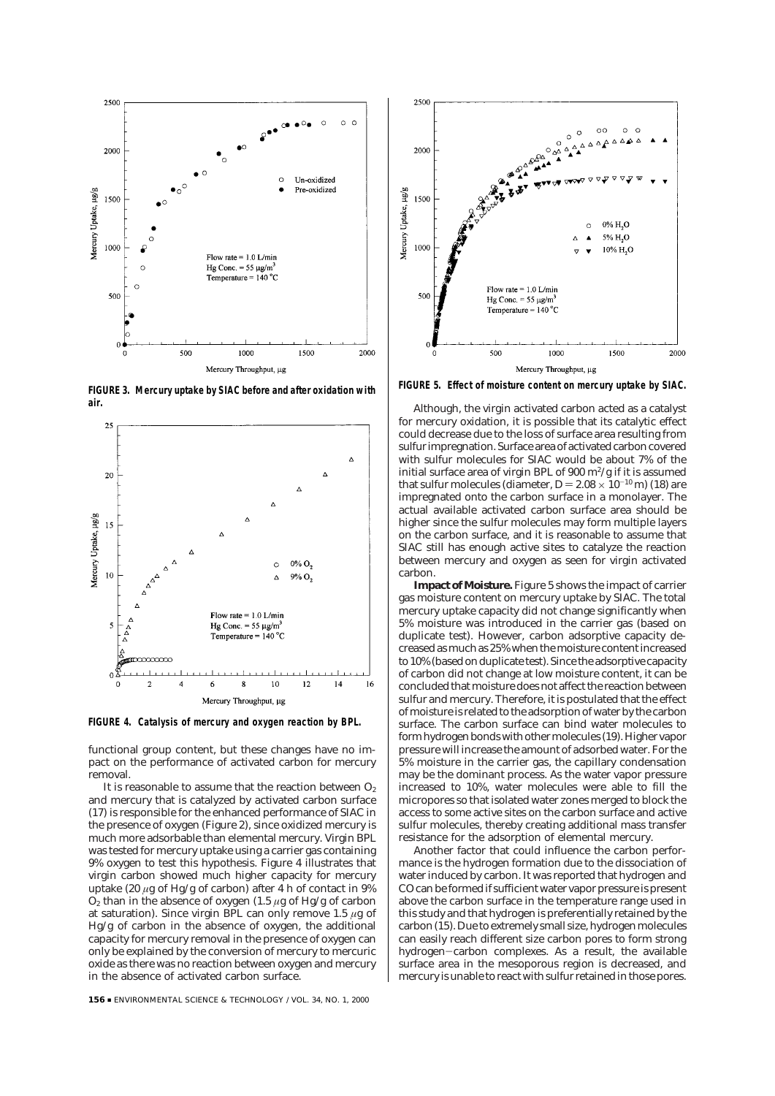

**FIGURE 3. Mercury uptake by SIAC before and after oxidation with air.**



**FIGURE 4. Catalysis of mercury and oxygen reaction by BPL.**

functional group content, but these changes have no impact on the performance of activated carbon for mercury removal.

It is reasonable to assume that the reaction between  $O<sub>2</sub>$ and mercury that is catalyzed by activated carbon surface (*17*) is responsible for the enhanced performance of SIAC in the presence of oxygen (Figure 2), since oxidized mercury is much more adsorbable than elemental mercury. Virgin BPL was tested for mercury uptake using a carrier gas containing 9% oxygen to test this hypothesis. Figure 4 illustrates that virgin carbon showed much higher capacity for mercury uptake (20  $\mu$ g of Hg/g of carbon) after 4 h of contact in 9%  $O_2$  than in the absence of oxygen (1.5  $\mu$ g of Hg/g of carbon at saturation). Since virgin BPL can only remove 1.5  $\mu$ g of Hg/g of carbon in the absence of oxygen, the additional capacity for mercury removal in the presence of oxygen can only be explained by the conversion of mercury to mercuric oxide as there was no reaction between oxygen and mercury in the absence of activated carbon surface.



**FIGURE 5. Effect of moisture content on mercury uptake by SIAC.**

Although, the virgin activated carbon acted as a catalyst for mercury oxidation, it is possible that its catalytic effect could decrease due to the loss of surface area resulting from sulfur impregnation. Surface area of activated carbon covered with sulfur molecules for SIAC would be about 7% of the initial surface area of virgin BPL of  $900 \text{ m}^2/\text{g}$  if it is assumed that sulfur molecules (diameter,  $D = 2.08 \times 10^{-10}$  m) (18) are impregnated onto the carbon surface in a monolayer. The actual available activated carbon surface area should be higher since the sulfur molecules may form multiple layers on the carbon surface, and it is reasonable to assume that SIAC still has enough active sites to catalyze the reaction between mercury and oxygen as seen for virgin activated carbon.

**Impact of Moisture.** Figure 5 shows the impact of carrier gas moisture content on mercury uptake by SIAC. The total mercury uptake capacity did not change significantly when 5% moisture was introduced in the carrier gas (based on duplicate test). However, carbon adsorptive capacity decreased asmuch as 25% when themoisture content increased to 10% (based on duplicate test). Since the adsorptive capacity of carbon did not change at low moisture content, it can be concluded that moisture does not affect the reaction between sulfur and mercury. Therefore, it is postulated that the effect of moisture is related to the adsorption of water by the carbon surface. The carbon surface can bind water molecules to form hydrogen bonds with othermolecules (*19*). Higher vapor pressure will increase the amount of adsorbed water. For the 5% moisture in the carrier gas, the capillary condensation may be the dominant process. As the water vapor pressure increased to 10%, water molecules were able to fill the micropores so that isolated water zones merged to block the access to some active sites on the carbon surface and active sulfur molecules, thereby creating additional mass transfer resistance for the adsorption of elemental mercury.

Another factor that could influence the carbon performance is the hydrogen formation due to the dissociation of water induced by carbon. It was reported that hydrogen and CO can be formed if sufficient water vapor pressure is present above the carbon surface in the temperature range used in this study and that hydrogen is preferentially retained by the carbon (*15*). Due to extremely small size, hydrogen molecules can easily reach different size carbon pores to form strong hydrogen-carbon complexes. As a result, the available surface area in the mesoporous region is decreased, and mercury is unable to react with sulfur retained in those pores.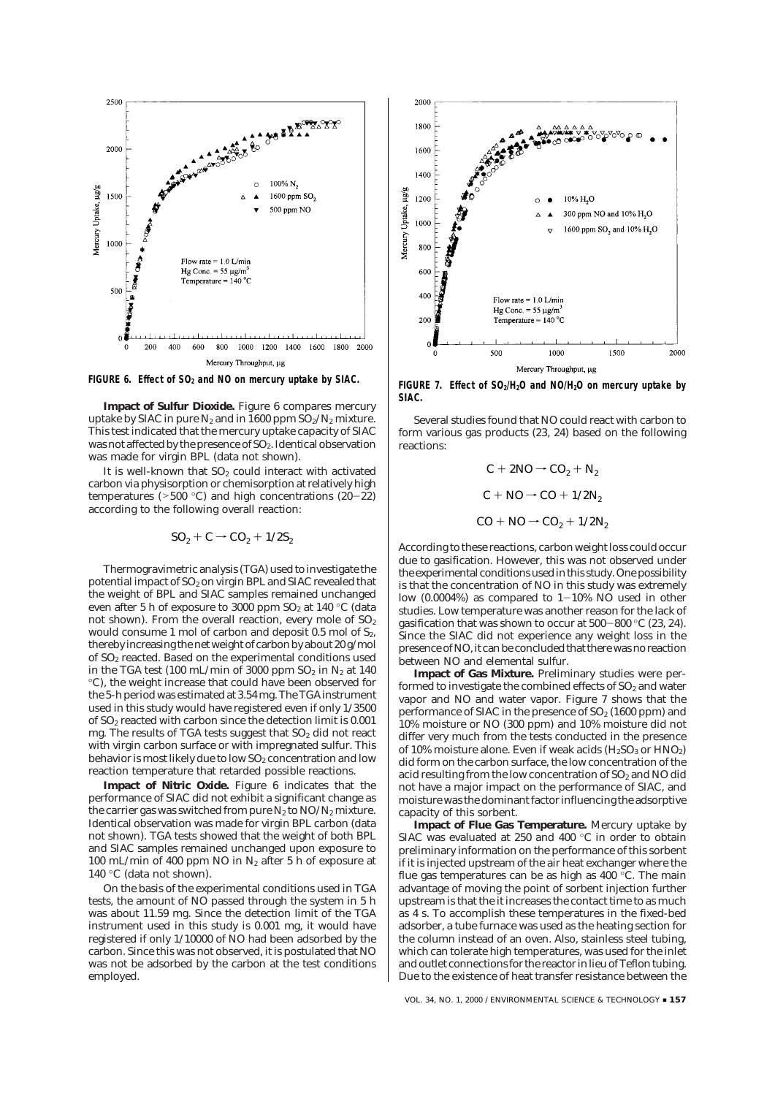

**Impact of Sulfur Dioxide.** Figure 6 compares mercury uptake by SIAC in pure  $N_2$  and in 1600 ppm  $SO_2/N_2$  mixture. This test indicated that the mercury uptake capacity of SIAC was not affected by the presence of SO<sub>2</sub>. Identical observation was made for virgin BPL (data not shown).

It is well-known that  $SO<sub>2</sub>$  could interact with activated carbon via physisorption or chemisorption at relatively high temperatures (>500 °C) and high concentrations (*20*-*22*) according to the following overall reaction:

$$
SO_2 + C \rightarrow CO_2 + 1/2S_2
$$

Thermogravimetric analysis (TGA) used to investigate the potential impact of  $SO_2$  on virgin BPL and SIAC revealed that the weight of BPL and SIAC samples remained unchanged even after 5 h of exposure to 3000 ppm  $SO<sub>2</sub>$  at 140 °C (data not shown). From the overall reaction, every mole of  $SO<sub>2</sub>$ would consume 1 mol of carbon and deposit  $0.5$  mol of  $S<sub>2</sub>$ . therebyincreasing the net weight of carbon by about 20 g/mol of SO2 reacted. Based on the experimental conditions used in the TGA test (100 mL/min of 3000 ppm  $SO_2$  in  $N_2$  at 140 °C), the weight increase that could have been observed for the 5-h period was estimated at 3.54 mg. The TGA instrument used in this study would have registered even if only 1/3500 of SO2 reacted with carbon since the detection limit is 0.001 mg. The results of TGA tests suggest that SO<sub>2</sub> did not react with virgin carbon surface or with impregnated sulfur. This behavior is most likely due to low  $SO_2$  concentration and low reaction temperature that retarded possible reactions.

**Impact of Nitric Oxide.** Figure 6 indicates that the performance of SIAC did not exhibit a significant change as the carrier gas was switched from pure  $N_2$  to  $NO/N_2$  mixture. Identical observation was made for virgin BPL carbon (data not shown). TGA tests showed that the weight of both BPL and SIAC samples remained unchanged upon exposure to 100 mL/min of 400 ppm NO in N2 after 5 h of exposure at 140 °C (data not shown).

On the basis of the experimental conditions used in TGA tests, the amount of NO passed through the system in 5 h was about 11.59 mg. Since the detection limit of the TGA instrument used in this study is 0.001 mg, it would have registered if only 1/10000 of NO had been adsorbed by the carbon. Since this was not observed, it is postulated that NO was not be adsorbed by the carbon at the test conditions employed.



**SIAC.**

Several studies found that NO could react with carbon to form various gas products (*23, 24*) based on the following reactions:

> $C + 2NO \rightarrow CO<sub>2</sub> + N<sub>2</sub>$  $C + NO \rightarrow CO + 1/2N_2$  $CO + NO \rightarrow CO_2 + 1/2N_2$

According to these reactions, carbon weight loss could occur due to gasification. However, this was not observed under the experimental conditions usedin this study. One possibility is that the concentration of NO in this study was extremely low  $(0.0004\%)$  as compared to  $1-10\%$  NO used in other studies. Low temperature was another reason for the lack of gasification that was shown to occur at 500-800 °C (*23, 24*). Since the SIAC did not experience any weight loss in the presence of NO, it can be concluded that there was no reaction between NO and elemental sulfur.

**Impact of Gas Mixture.** Preliminary studies were performed to investigate the combined effects of  $SO<sub>2</sub>$  and water vapor and NO and water vapor. Figure 7 shows that the performance of SIAC in the presence of  $SO<sub>2</sub>$  (1600 ppm) and 10% moisture or NO (300 ppm) and 10% moisture did not differ very much from the tests conducted in the presence of 10% moisture alone. Even if weak acids  $(H_2SO_3 \text{ or HNO}_2)$ did form on the carbon surface, the low concentration of the acid resulting from the low concentration of  $SO<sub>2</sub>$  and NO did not have a major impact on the performance of SIAC, and moisture was the dominant factor influencing the adsorptive capacity of this sorbent.

**Impact of Flue Gas Temperature.** Mercury uptake by SIAC was evaluated at 250 and 400 °C in order to obtain preliminary information on the performance of this sorbent if it is injected upstream of the air heat exchanger where the flue gas temperatures can be as high as  $400^{\circ}$ C. The main advantage of moving the point of sorbent injection further upstream is that the it increases the contact time to as much as 4 s. To accomplish these temperatures in the fixed-bed adsorber, a tube furnace was used as the heating section for the column instead of an oven. Also, stainless steel tubing, which can tolerate high temperatures, was used for the inlet and outlet connections for the reactor in lieu of Teflon tubing. Due to the existence of heat transfer resistance between the

VOL. 34, NO. 1, 2000 / ENVIRONMENTAL SCIENCE & TECHNOLOGY **= 157**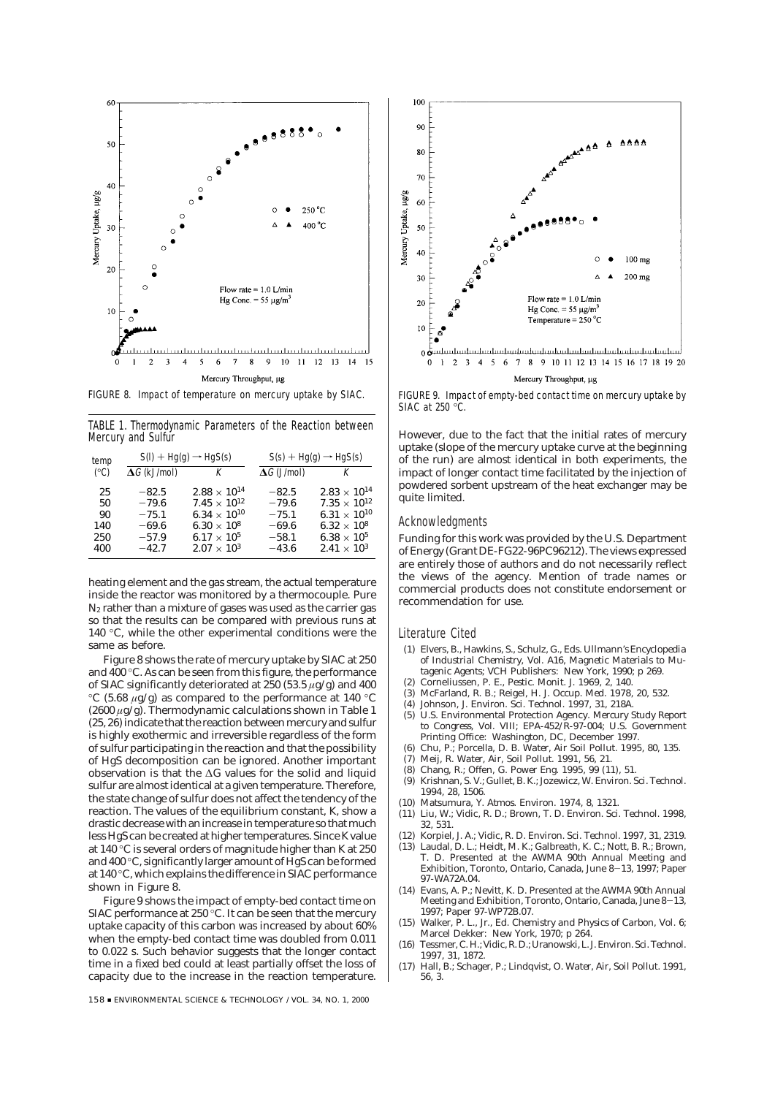

FIGURE 8. Impact of temperature on mercury uptake by SIAC.

TABLE 1. Thermodynamic Parameters of the Reaction between Mercury and Sulfur

| temp<br>(°C)                        | $S(I) + Hq(q) \rightarrow HqS(s)$                              |                                                                                                                                                          | $S(s) + Hg(g) \rightarrow HgS(s)$                              |                                                                                                                                                          |
|-------------------------------------|----------------------------------------------------------------|----------------------------------------------------------------------------------------------------------------------------------------------------------|----------------------------------------------------------------|----------------------------------------------------------------------------------------------------------------------------------------------------------|
|                                     | $\Delta G$ (kJ/mol)                                            | К                                                                                                                                                        | $\Delta G$ (J/mol)                                             | К                                                                                                                                                        |
| 25<br>50<br>90<br>140<br>250<br>400 | $-82.5$<br>$-79.6$<br>$-75.1$<br>$-69.6$<br>$-57.9$<br>$-42.7$ | $2.88 \times 10^{14}$<br>$7.45 \times 10^{12}$<br>$6.34 \times 10^{10}$<br>6.30 $\times$ 10 <sup>8</sup><br>$6.17 \times 10^{5}$<br>$2.07 \times 10^{3}$ | $-82.5$<br>$-79.6$<br>$-75.1$<br>$-69.6$<br>$-58.1$<br>$-43.6$ | $2.83 \times 10^{14}$<br>$7.35 \times 10^{12}$<br>6.31 $\times$ 10 <sup>10</sup><br>$6.32 \times 10^{8}$<br>$6.38 \times 10^{5}$<br>$2.41 \times 10^{3}$ |

heating element and the gas stream, the actual temperature inside the reactor was monitored by a thermocouple. Pure  $N_2$  rather than a mixture of gases was used as the carrier gas so that the results can be compared with previous runs at 140 °C, while the other experimental conditions were the same as before.

Figure 8 shows the rate of mercury uptake by SIAC at 250 and 400 °C. As can be seen from this figure, the performance of SIAC significantly deteriorated at 250 (53.5  $\mu$ g/g) and 400 °C (5.68  $\mu$ g/g) as compared to the performance at 140 °C (2600  $\mu$ g/g). Thermodynamic calculations shown in Table 1 (25, 26) indicate that the reaction between mercury and sulfur is highly exothermic and irreversible regardless of the form of sulfur participating in the reaction and that the possibility of HgS decomposition can be ignored. Another important observation is that the ΔG values for the solid and liquid sulfur are almost identical at a given temperature. Therefore, the state change of sulfur does not affect the tendency of the reaction. The values of the equilibrium constant, K, show a drastic decrease with an increase in temperature so that much less HgS can be created at higher temperatures. Since Kvalue at 140 °C is several orders of magnitude higher than K at 250 and 400 °C, significantly larger amount of HgS can be formed at 140 °C, which explains the difference in SIAC performance shown in Figure 8.

Figure 9 shows the impact of empty-bed contact time on SIAC performance at 250 °C. It can be seen that the mercury uptake capacity of this carbon was increased by about 60% when the empty-bed contact time was doubled from 0.011 to 0.022 s. Such behavior suggests that the longer contact time in a fixed bed could at least partially offset the loss of capacity due to the increase in the reaction temperature.

158 <sup>9</sup> ENVIRONMENTAL SCIENCE & TECHNOLOGY / VOL. 34, NO. 1, 2000



FIGURE 9. Impact of empty-bed contact time on mercury uptake by SIAC at 250 °C.

However, due to the fact that the initial rates of mercury uptake (slope of the mercury uptake curve at the beginning of the run) are almost identical in both experiments, the impact of longer contact time facilitated by the injection of powdered sorbent upstream of the heat exchanger may be quite limited.

### Acknowledgments

Funding for this work was provided by the U.S. Department of Energy (Grant DE-FG22-96PC96212). The views expressed are entirely those of authors and do not necessarily reflect the views of the agency. Mention of trade names or commercial products does not constitute endorsement or recommendation for use.

### Literature Cited

- (1) Elvers, B., Hawkins, S., Schulz, G., Eds. Ullmann's Encyclopedia of Industrial Chemistry, Vol. A16, Magnetic Materials to Mutagenic Agents; VCH Publishers: New York, 1990; p 269.
- (2) Corneliussen, P. E., Pestic. Monit. J. 1969, 2, 140.
- (3) McFarland, R. B.; Reigel, H. J. Occup. Med. 1978, 20, 532.
- (4) Johnson, J. Environ. Sci. Technol. 1997, 31, 218A.
- (5) U.S. Environmental Protection Agency. Mercury Study Report to Congress, Vol. VIII; EPA-452/R-97-004; U.S. Government Printing Office: Washington, DC, December 1997.
- (6) Chu, P.; Porcella, D. B. Water, Air Soil Pollut. 1995, 80, 135.
- (7) Meij, R. Water, Air, Soil Pollut. 1991, 56, 21.
- (8) Chang, R.; Offen, G. Power Eng. 1995, 99 (11), 51.
- Krishnan, S. V.; Gullet, B. K.; Jozewicz, W. Environ. Sci. Technol. 1994, 28, 1506.
- (10) Matsumura, Y. Atmos. Environ. 1974, 8, 1321.
- (11) Liu, W.; Vidic, R. D.; Brown, T. D. Environ. Sci. Technol. 1998, 32, 531.
- (12) Korpiel, J. A.; Vidic, R. D. Environ. Sci. Technol. 1997, 31, 2319.
- (13) Laudal, D. L.; Heidt, M. K.; Galbreath, K. C.; Nott, B. R.; Brown, T. D. Presented at the AWMA 90th Annual Meeting and Exhibition, Toronto, Ontario, Canada, June 8-13, 1997; Paper 97-WA72A.04.
- (14) Evans, A. P.; Nevitt, K. D. Presented at the AWMA 90th Annual Meeting and Exhibition, Toronto, Ontario, Canada, June 8-13, 1997; Paper 97-WP72B.07.
- (15) Walker, P. L., Jr., Ed. Chemistry and Physics of Carbon, Vol. 6; Marcel Dekker: New York, 1970; p 264.
- (16) Tessmer, C. H.; Vidic, R. D.; Uranowski, L. J. Environ. Sci. Technol. 1997, 31, 1872.
- (17) Hall, B.; Schager, P.; Lindqvist, O. Water, Air, Soil Pollut. 1991, 56, 3.